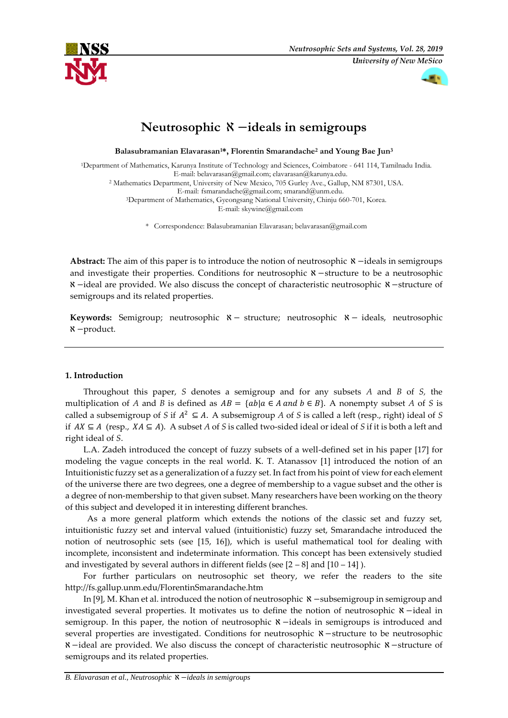



# **Neutrosophic** ℵ −**ideals in semigroups**

**Balasubramanian Elavarasan1\*, Florentin Smarandache<sup>2</sup> and Young Bae Jun<sup>3</sup>**

<sup>1</sup>Department of Mathematics, Karunya Institute of Technology and Sciences, Coimbatore - 641 114, Tamilnadu India. E-mail: [belavarasan@gmail.com;](mailto:belavarasan@gmail.com) [elavarasan@karunya.edu.](mailto:elavarasan@karunya.edu) <sup>2</sup> Mathematics Department, University of New Mexico, 705 Gurley Ave., Gallup, NM 87301, USA. E-mail: [fsmarandache@gmail.com;](mailto:fsmarandache@gmail.com) [smarand@unm.edu.](mailto:smarand@unm.edu) <sup>3</sup>Department of Mathematics, Gyeongsang National University, Chinju 660-701, Korea. E-mail: skywine@gmail.com

\* Correspondence: Balasubramanian Elavarasan; belavarasan@gmail.com

Abstract: The aim of this paper is to introduce the notion of neutrosophic **N** −ideals in semigroups and investigate their properties. Conditions for neutrosophic ℵ−structure to be a neutrosophic ℵ−ideal are provided. We also discuss the concept of characteristic neutrosophic ℵ −structure of semigroups and its related properties.

**Keywords:** Semigroup; neutrosophic ℵ− structure; neutrosophic ℵ − ideals, neutrosophic ℵ−product.

## **1. Introduction**

Throughout this paper, *S* denotes a semigroup and for any subsets *A* and *B* of *S,* the multiplication of *A* and *B* is defined as  $AB = \{ab \mid a \in A \text{ and } b \in B\}$ . A nonempty subset *A* of *S* is called a subsemigroup of *S* if  $A^2 \subseteq A$ . A subsemigroup *A* of *S* is called a left (resp., right) ideal of *S* if  $AX ⊆ A$  (resp.,  $XA ⊆ A$ ). A subset *A* of *S* is called two-sided ideal or ideal of *S* if it is both a left and right ideal of *S*.

L.A. Zadeh introduced the concept of fuzzy subsets of a well-defined set in his paper [17] for modeling the vague concepts in the real world. K. T. Atanassov [1] introduced the notion of an Intuitionistic fuzzy set as a generalization of a fuzzy set. In fact from his point of view for each element of the universe there are two degrees, one a degree of membership to a vague subset and the other is a degree of non-membership to that given subset. Many researchers have been working on the theory of this subject and developed it in interesting different branches.

As a more general platform which extends the notions of the classic set and fuzzy set, intuitionistic fuzzy set and interval valued (intuitionistic) fuzzy set, Smarandache introduced the notion of neutrosophic sets (see [15, 16]), which is useful mathematical tool for dealing with incomplete, inconsistent and indeterminate information. This concept has been extensively studied and investigated by several authors in different fields (see  $[2 - 8]$  and  $[10 - 14]$ ).

For further particulars on neutrosophic set theory, we refer the readers to the site http://fs.gallup.unm.edu/FlorentinSmarandache.htm

In [9], M. Khan et al. introduced the notion of neutrosophic  $\aleph$  −subsemigroup in semigroup and investigated several properties. It motivates us to define the notion of neutrosophic ℵ −ideal in semigroup. In this paper, the notion of neutrosophic  $\aleph$  −ideals in semigroups is introduced and several properties are investigated. Conditions for neutrosophic  $\mathcal{X}$  −structure to be neutrosophic ℵ−ideal are provided. We also discuss the concept of characteristic neutrosophic ℵ −structure of semigroups and its related properties.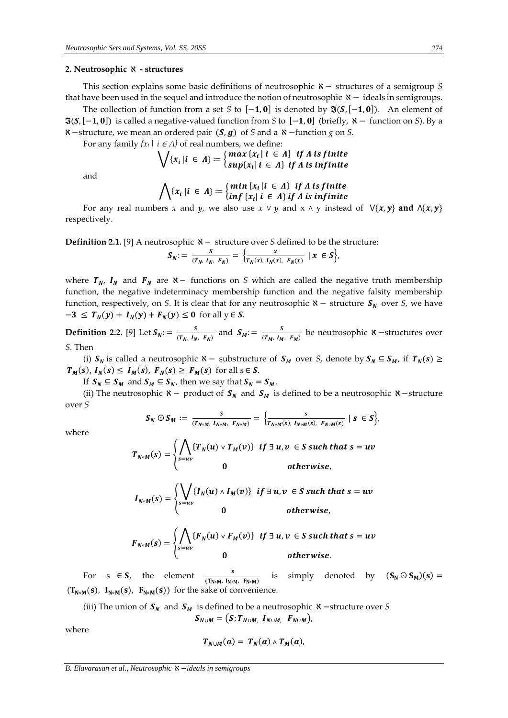### **2. Neutrosophic** ℵ **- structures**

This section explains some basic definitions of neutrosophic ℵ− structures of a semigroup *S* that have been used in the sequel and introduce the notion of neutrosophic ℵ− ideals in semigroups.

The collection of function from a set *S* to  $[-1, 0]$  is denoted by  $\Im(S, [-1, 0])$ . An element of  $\Im(S,[-1, 0])$  is called a negative-valued function from *S* to  $[-1, 0]$  (briefly,  $\aleph -$  function on *S*). By a ℵ−structure, we mean an ordered pair (,) of *S* and a ℵ−function *g* on *S*.

For any family  $\{x_i | i \in A\}$  of real numbers, we define:

$$
\bigvee \{x_i | i \in \Lambda\} \coloneqq \begin{cases} \max \{x_i | i \in \Lambda\} & \text{if } \Lambda \text{ is finite} \\ \sup\{x_i | i \in \Lambda\} & \text{if } \Lambda \text{ is infinite} \end{cases}
$$

and

$$
\bigwedge \{x_i \mid i \in \Lambda\} \coloneqq \left\{ \begin{matrix} min \{x_i \mid i \in \Lambda\} & if \Lambda \text{ is finite} \\ inf \{x_i \mid i \in \Lambda\} & if \Lambda \text{ is infinite} \end{matrix} \right.
$$

For any real numbers *x* and *y*, we also use  $x \lor y$  and  $x \land y$  instead of  $\forall \{x, y\}$  and  $\land \{x, y\}$ respectively.

**Definition 2.1.** [9] A neutrosophic **N** − structure over *S* defined to be the structure:

$$
S_N := \frac{s}{(T_N, I_N, F_N)} = \left\{ \frac{x}{T_N(x), I_N(x), F_N(x)} \mid x \in S \right\},\
$$

where  $T_N$ ,  $I_N$  and  $F_N$  are  $\aleph$  – functions on *S* which are called the negative truth membership function, the negative indeterminacy membership function and the negative falsity membership function, respectively, on *S*. It is clear that for any neutrosophic  $X -$  structure  $S_N$  over *S*, we have  $-3 \leq T_N(y) + I_N(y) + F_N(y) \leq 0$  for all  $y \in S$ .

**Definition 2.2.** [9] Let  $S_N$ : =  $\frac{S}{(T_N - I_N)}$  $\frac{S}{(T_N, I_N, F_N)}$  and  $S_M := \frac{S}{(T_M, I_M)}$  $\frac{3}{(T_M, I_M, F_M)}$  be neutrosophic  $\aleph$  –structures over *S.* Then

(i)  $S_N$  is called a neutrosophic  $\aleph -$  substructure of  $S_M$  over *S*, denote by  $S_N \subseteq S_M$ , if  $T_N(s) \geq$  $T_M(s)$ ,  $I_N(s) \leq I_M(s)$ ,  $F_N(s) \geq F_M(s)$  for all  $s \in S$ .

If  $S_N \subseteq S_M$  and  $S_M \subseteq S_N$ , then we say that  $S_N = S_M$ .

(ii) The neutrosophic  $\aleph$  − product of  $S_N$  and  $S_M$  is defined to be a neutrosophic  $\aleph$  − structure over *S*

$$
S_N \odot S_M := \frac{s}{(T_{N \circ M}, I_{N \circ M}, F_{N \circ M})} = \left\{ \frac{s}{T_{N \circ M}(s), I_{N \circ M}(s), F_{N \circ M}(s)} \mid s \in S \right\},\,
$$

where

$$
T_{N\circ M}(s) = \begin{cases} \bigwedge_{s=uv} \{T_N(u) \vee T_M(v)\} & \text{if } \exists u, v \in S \text{ such that } s = uv \\ 0 & \text{otherwise,} \end{cases}
$$

$$
I_{N\circ M}(s) = \begin{cases} \bigvee_{s=uv} \{I_N(u) \wedge I_M(v)\} & \text{if } \exists u, v \in S \text{ such that } s = uv \\ 0 & \text{otherwise,} \end{cases}
$$

$$
F_{N\circ M}(s) = \begin{cases} \bigwedge_{s=uv} \{F_N(u) \vee F_M(v)\} & \text{if } \exists u, v \in S \text{ such that } s = uv \\ 0 & \text{otherwise.} \end{cases}
$$

For  $s \in S$ , the element  $(\overline{T_{N\circ M}},\ \overline{I_{N\circ M}},\ \overline{F_{N\circ M}})$ is simply denoted by  $(S_N \odot S_M)(s) =$  $(T_{N \circ M}(s), I_{N \circ M}(s), F_{N \circ M}(s))$  for the sake of convenience.

(iii) The union of  $S_N$  and  $S_M$  is defined to be a neutrosophic  $\aleph$  −structure over *S*  $S_{N\cup M} = (S; T_{N\cup M}, I_{N\cup M}, F_{N\cup M}),$ 

where

$$
T_{N\cup M}(a) = T_N(a) \wedge T_M(a),
$$

*B. Elavarasan et al., Neutrosophic* ℵ −*ideals in semigroups*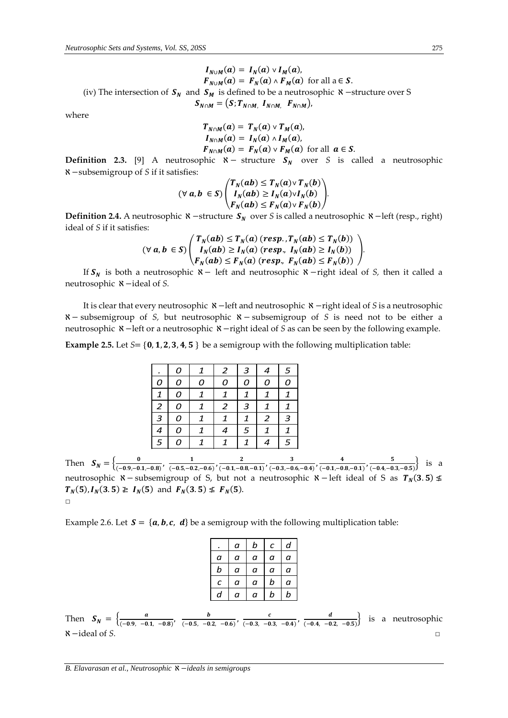$$
I_{N \cup M}(a) = I_N(a) \vee I_M(a),
$$
  
\n
$$
F_{N \cup M}(a) = F_N(a) \wedge F_M(a)
$$
 for all  $a \in S$ .  
\n(iv) The intersection of  $S_N$  and  $S_M$  is defined to be a neutrosophic  $\aleph$  –structure over S  
\n
$$
S_{N \cap M} = (S; T_{N \cap M}, I_{N \cap M}, F_{N \cap M}),
$$

where

$$
T_{N \cap M}(a) = T_N(a) \vee T_M(a),
$$
  
\n
$$
I_{N \cap M}(a) = I_N(a) \wedge I_M(a),
$$
  
\n
$$
F_{N \cap M}(a) = F_N(a) \vee F_M(a) \text{ for all } a \in S.
$$

**Definition 2.3.** [9] A neutrosophic  $\aleph -$  structure  $S_N$  over *S* is called a neutrosophic ℵ−subsemigroup of *S* if it satisfies:

$$
(\forall a, b \in S) \begin{pmatrix} T_N(ab) \le T_N(a) \vee T_N(b) \\ I_N(ab) \ge I_N(a) \vee I_N(b) \\ F_N(ab) \le F_N(a) \vee F_N(b) \end{pmatrix}.
$$

**Definition 2.4.** A neutrosophic **ヾ**−structure  $S_N$  over *S* is called a neutrosophic ヾーleft (resp., right) ideal of *S* if it satisfies:

$$
(\forall a, b \in S) \begin{pmatrix} T_N(ab) \le T_N(a) \ (resp., T_N(ab) \le T_N(b)) \\ I_N(ab) \ge I_N(a) \ (resp., I_N(ab) \ge I_N(b)) \\ F_N(ab) \le F_N(a) \ (resp., F_N(ab) \le F_N(b)) \end{pmatrix}.
$$

If is both a neutrosophic ℵ − left and neutrosophic ℵ−right ideal of *S,* then it called a neutrosophic ℵ−ideal of *S.* 

It is clear that every neutrosophic ℵ −left and neutrosophic ℵ−right ideal of *S* is a neutrosophic ℵ−subsemigroup of *S,* but neutrosophic ℵ−subsemigroup of *S* is need not to be either a neutrosophic ℵ−left or a neutrosophic ℵ−right ideal of *S* as can be seen by the following example.

**Example 2.5.** Let  $S = \{0, 1, 2, 3, 4, 5\}$  be a semigroup with the following multiplication table:

|                         | Ω |   | 2 | 3      |   | 5      |
|-------------------------|---|---|---|--------|---|--------|
| Ω                       | 0 | 0 | Ω | n      | Ω | Ω      |
| $\mathbf{1}$            | O |   | 1 | 1      | 1 | 1      |
| $\overline{\mathbf{c}}$ | 0 | 1 | 2 | 3      | 1 |        |
| 3                       | 0 |   |   | 1      | 2 | 3      |
| 4                       | 0 |   | 4 | 5      | 1 |        |
| 5                       | 0 |   |   | 1      |   | 5      |
|                         |   |   |   | $\sim$ |   | $\sim$ |

Then  $S_N = \begin{cases} \frac{0}{(-0.9 - 0.75)^{1/3}} & \text{if } n \ge 1 \end{cases}$  $\frac{0}{(-0.9,-0.1,-0.8)}$ ,  $\frac{1}{(-0.5,-0.1,-0.8)}$  $\frac{1}{(-0.5,-0.2,-0.6)}$ ,  $\frac{2}{(-0.1,-0.6)}$  $\frac{2}{(-0.1,-0.8,-0.1)}$ ,  $\frac{3}{(-0.3,-0.1)}$  $\frac{3}{(-0.3,-0.6,-0.4)}$ ,  $\frac{4}{(-0.1,-0.4)}$  $\frac{4}{(-0.1,-0.8,-0.1)}$ ,  $\frac{5}{(-0.4,-0.1)}$  $\frac{3}{(-0.4,-0.3,-0.5)}$  is a neutrosophic  $\aleph$  − subsemigroup of S, but not a neutrosophic  $\aleph$  − left ideal of S as  $T_N(3.5)$  ≰  $T_N(5)$ ,  $I_N(3.5) \geq I_N(5)$  and  $F_N(3.5) \leq F_N(5)$ .  $\Box$ 

Example 2.6. Let  $S = \{a, b, c, d\}$  be a semigroup with the following multiplication table:

|                  | а | b | с | d |
|------------------|---|---|---|---|
| а                | а | а | а | а |
| b                | а | а | а | а |
| $\pmb{C}$        | а | а | b | а |
| $\boldsymbol{a}$ | а | а | b | b |

Then  $S_N = \begin{cases} \frac{a}{(0.09 - 0.001)} & \text{if } n \neq 0 \end{cases}$  $\frac{a}{(-0.9, -0.1, -0.8)}, \frac{b}{(-0.5, -0.5)}$  $\frac{b}{(-0.5, -0.2, -0.6)}, \frac{c}{(-0.3, -0.6)}$  $\frac{c}{(-0.3, -0.3, -0.4)}, \frac{d}{(-0.4, -0.4)}$  $\frac{a}{(-0.4, -0.2, -0.5)}$  is a neutrosophic  $\aleph$  -ideal of *S*.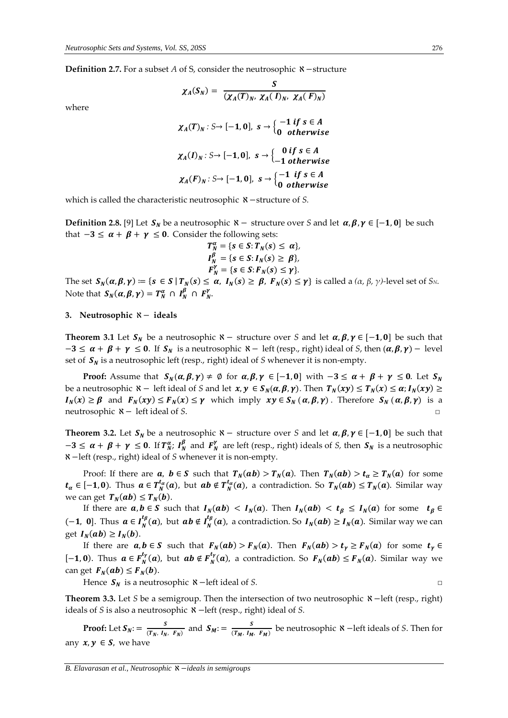**Definition 2.7.** For a subset *A* of *S*, consider the neutrosophic *N* −structure

 $\chi_A(S_N) = \frac{S}{(N_{\text{c}}/T)^{N_{\text{c}}}}$ 

where

$$
\chi_A(T)_N: S \to [-1,0], \quad s \to \begin{cases} -1 \text{ if } s \in A \\ 0 \text{ otherwise} \end{cases}
$$

$$
\chi_A(I)_N: S \to [-1,0], \quad s \to \begin{cases} 0 \text{ if } s \in A \\ -1 \text{ otherwise} \end{cases}
$$

$$
\chi_A(F)_N: S \to [-1,0], \quad s \to \begin{cases} -1 \text{ if } s \in A \\ 0 \text{ otherwise} \end{cases}
$$

 $(\chi_A(T)_N, \chi_A(I)_N, \chi_A(F)_N)$ 

which is called the characteristic neutrosophic ℵ−structure of *S.*

**Definition 2.8.** [9] Let  $S_N$  be a neutrosophic  $\aleph -$  structure over *S* and let  $\alpha, \beta, \gamma \in [-1, 0]$  be such that  $-3 \le \alpha + \beta + \gamma \le 0$ . Consider the following sets:

$$
T_N^{\alpha} = \{s \in S: T_N(s) \leq \alpha\},
$$
  
\n
$$
I_N^{\beta} = \{s \in S: I_N(s) \geq \beta\},
$$
  
\n
$$
F_N^{\gamma} = \{s \in S: F_N(s) \leq \gamma\}.
$$

The set  $S_N(\alpha, \beta, \gamma) := \{ s \in S \mid T_N(s) \leq \alpha, I_N(s) \geq \beta, F_N(s) \leq \gamma \}$  is called a  $(\alpha, \beta, \gamma)$ *-level set of S<sub>N</sub>*. Note that  $S_N(\alpha, \beta, \gamma) = T_N^{\alpha} \cap I_N^{\beta} \cap F_N^{\gamma}$ .

### **3. Neutrosophic** ℵ− **ideals**

**Theorem 3.1** Let  $S_N$  be a neutrosophic  $\aleph -$  structure over *S* and let  $\alpha, \beta, \gamma \in [-1, 0]$  be such that  $-3 \le \alpha + \beta + \gamma \le 0$ . If  $S_N$  is a neutrosophic  $\aleph -$  left (resp., right) ideal of *S*, then  $(\alpha, \beta, \gamma)$  – level set of  $S_N$  is a neutrosophic left (resp., right) ideal of *S* whenever it is non-empty.

**Proof:** Assume that  $S_N(\alpha, \beta, \gamma) \neq \emptyset$  for  $\alpha, \beta, \gamma \in [-1, 0]$  with  $-3 \leq \alpha + \beta + \gamma \leq 0$ . Let  $S_N$ be a neutrosophic  $\aleph$  – left ideal of *S* and let  $x, y \in S_N(\alpha, \beta, \gamma)$ . Then  $T_N(xy) \le T_N(x) \le \alpha$ ;  $I_N(xy) \ge$  $I_N(x) \ge \beta$  and  $F_N(xy) \le F_N(x) \le \gamma$  which imply  $xy \in S_N(\alpha, \beta, \gamma)$ . Therefore  $S_N(\alpha, \beta, \gamma)$  is a neutrosophic ℵ− left ideal of *S*. □

**Theorem 3.2.** Let  $S_N$  be a neutrosophic  $\mathcal{R}$  − structure over *S* and let  $\alpha, \beta, \gamma \in [-1, 0]$  be such that  $-3 \le \alpha + \beta + \gamma \le 0$ . If  $T_N^{\alpha}$ ;  $I_N^{\beta}$  and  $F_N^{\gamma}$  are left (resp., right) ideals of *S*, then  $S_N$  is a neutrosophic ℵ−left (resp., right) ideal of *S* whenever it is non-empty.

Proof: If there are  $a, b \in S$  such that  $T_N(ab) > T_N(a)$ . Then  $T_N(ab) > t_a \ge T_N(a)$  for some  $t_\alpha\in[-1,0).$  Thus  $a\in T^{t_\alpha}_N(a)$ , but  $ab\notin T^{t_\alpha}_N(a)$ , a contradiction. So  $T_N(ab)\leq T_N(a).$  Similar way we can get  $T_N(ab) \leq T_N(b)$ .

If there are  $a, b \in S$  such that  $I_N(ab) < I_N(a)$ . Then  $I_N(ab) < t_\beta \leq I_N(a)$  for some  $t_\beta \in S$ (-1, 0]. Thus  $a \in I_N^{t_\beta}(a)$ , but  $ab \notin I_N^{t_\beta}(a)$ , a contradiction. So  $I_N(ab) \geq I_N(a)$ . Similar way we can get  $I_N(ab) \geq I_N(b)$ .

If there are  $a, b \in S$  such that  $F_N(ab) > F_N(a)$ . Then  $F_N(ab) > t_\gamma \ge F_N(a)$  for some  $t_\gamma \in$  $[-1, 0)$ . Thus  $a \in F_N^{t_\gamma}(a)$ , but  $ab \notin F_N^{t_\gamma}(a)$ , a contradiction. So  $F_N(ab) \leq F_N(a)$ . Similar way we can get  $F_N(ab) \leq F_N(b)$ .

Hence  $S_N$  is a neutrosophic  $\aleph$  −left ideal of *S*. □

**Theorem 3.3.** Let *S* be a semigroup. Then the intersection of two neutrosophic ℵ−left (resp., right) ideals of *S* is also a neutrosophic ℵ−left (resp., right) ideal of *S.*

**Proof:** Let  $S_N$ : =  $\frac{S}{(T_N - I_N)}$  $\frac{S}{(T_N, I_N, F_N)}$  and  $S_M := \frac{S}{(T_M, I_M)}$  $\frac{1}{(T_M, I_M, F_M)}$  be neutrosophic **X** –left ideals of *S*. Then for any  $x, y \in S$ , we have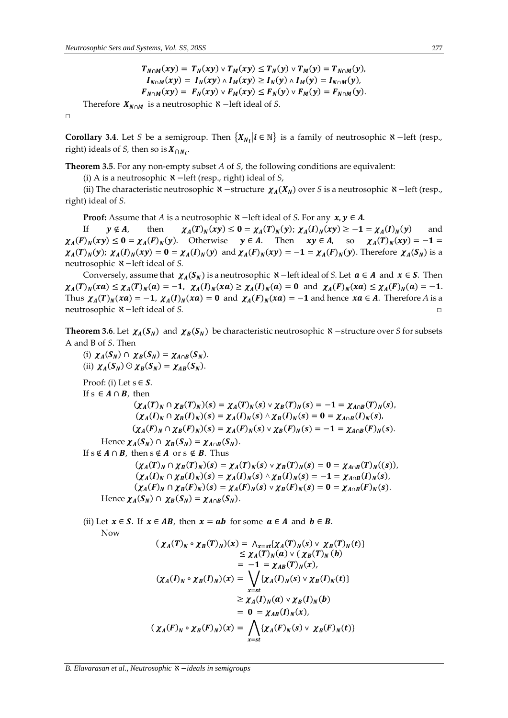$$
T_{N\cap M}(xy) = T_N(xy) \vee T_M(xy) \le T_N(y) \vee T_M(y) = T_{N\cap M}(y),
$$
  
\n
$$
I_{N\cap M}(xy) = I_N(xy) \wedge I_M(xy) \ge I_N(y) \wedge I_M(y) = I_{N\cap M}(y),
$$
  
\n
$$
F_{N\cap M}(xy) = F_N(xy) \vee F_M(xy) \le F_N(y) \vee F_M(y) = F_{N\cap M}(y).
$$

Therefore  $X_{N \cap M}$  is a neutrosophic  $\aleph$  −left ideal of *S*.

 $\Box$ 

**Corollary 3.4**. Let *S* be a semigroup. Then  $\{X_{N_i} | i \in \mathbb{N}\}\$ is a family of neutrosophic  $\mathbf{X}$  −left (resp., right) ideals of *S*, then so is  $X_{\bigcap N_i}$ .

**Theorem 3.5**. For any non-empty subset *A* of *S*, the following conditions are equivalent:

(i) A is a neutrosophic ℵ−left (resp., right) ideal of *S*,

(ii) The characteristic neutrosophic  $\aleph$  −structure  $\chi_A(X_N)$  over *S* is a neutrosophic  $\aleph$  −left (resp., right) ideal of *S.*

**Proof:** Assume that *A* is a neutrosophic  $\mathbf{\hat{x}}$  −left ideal of *S*. For any  $\mathbf{x}, \mathbf{y} \in A$ .

If  $y \notin A$ , then  $(T)_N(xy) \le 0 = \chi_A(T)_N(y); \chi_A(I)_N(xy) \ge -1 = \chi_A(I)_N(y)$  and  $\chi_A(F)_N(xy) \leq 0 = \chi_A(F)_N(y)$ . Otherwise  $y \in A$ . Then  $xy \in A$ , so  $\chi_A(T)_N(xy) = -1$  $\chi_A(T)_N(y)$ ;  $\chi_A(I)_N(xy) = 0 = \chi_A(I)_N(y)$  and  $\chi_A(F)_N(xy) = -1 = \chi_A(F)_N(y)$ . Therefore  $\chi_A(S_N)$  is a neutrosophic ℵ−left ideal of *S.*

Conversely, assume that  $\chi_A(S_N)$  is a neutrosophic  $\kappa$  –left ideal of *S*. Let  $a \in A$  and  $x \in S$ . Then  $\chi_A(T)_N(xa) \leq \chi_A(T)_N(a) = -1$ ,  $\chi_A(I)_N(xa) \geq \chi_A(I)_N(a) = 0$  and  $\chi_A(F)_N(xa) \leq \chi_A(F)_N(a) = -1$ . Thus  $\chi_A(T)_N(xa) = -1$ ,  $\chi_A(I)_N(xa) = 0$  and  $\chi_A(F)_N(xa) = -1$  and hence  $xa \in A$ . Therefore A is a neutrosophic ℵ−left ideal of *S.* □

**Theorem 3.6**. Let  $\chi_A(S_N)$  and  $\chi_B(S_N)$  be characteristic neutrosophic  $\kappa$  −structure over *S* for subsets A and B of *S*. Then

(i)  $\chi_A(S_N) \cap \chi_B(S_N) = \chi_{A \cap B}(S_N)$ . (ii)  $\chi_A(S_N) \odot \chi_B(S_N) = \chi_{AB}(S_N).$ Proof: (i) Let  $s \in S$ . If s  $\in$  **A**  $\cap$  **B**, then  $(\chi_A(T)_N \cap \chi_B(T)_N)(s) = \chi_A(T)_N(s) \vee \chi_B(T)_N(s) = -1 = \chi_{A \cap B}(T)_N(s)$  $(\chi_A(I)_N \cap \chi_B(I)_N)(s) = \chi_A(I)_N(s) \wedge \chi_B(I)_N(s) = 0 = \chi_{A \cap B}(I)_N(s)$  $(\chi_A(F)_N \cap \chi_B(F)_N)(s) = \chi_A(F)_N(s) \vee \chi_B(F)_N(s) = -1 = \chi_{A \cap B}(F)_N(s).$ Hence  $\chi_A(S_N) \cap \chi_B(S_N) = \chi_{A \cap B}(S_N)$ . If  $s \notin A \cap B$ , then  $s \notin A$  or  $s \notin B$ . Thus  $(\chi_A(T)_N \cap \chi_B(T)_N)(s) = \chi_A(T)_N(s) \vee \chi_B(T)_N(s) = 0 = \chi_{A \cap B}(T)_N((s)),$  $(\chi_A(I)_N \cap \chi_B(I)_N)(s) = \chi_A(I)_N(s) \wedge \chi_B(I)_N(s) = -1 = \chi_{A \cap B}(I)_N(s)$  $(\chi_A(F)_N \cap \chi_B(F)_N)(s) = \chi_A(F)_N(s) \vee \chi_B(F)_N(s) = 0 = \chi_{A \cap B}(F)_N(s).$ Hence  $\chi_A(S_N) \cap \chi_B(S_N) = \chi_{A \cap B}(S_N)$ .

(ii) Let  $x \in S$ . If  $x \in AB$ , then  $x = ab$  for some  $a \in A$  and  $b \in B$ . Now  $($  ())()  $\alpha$  ())()  $\alpha$  { $\alpha$  { $\alpha$ }()())()  $\alpha$ 

$$
(\chi_A(T)_N \circ \chi_B(T)_N)(x) = \wedge_{x=st} \{\chi_A(T)_N(s) \vee \chi_B(T)_N(t)\}
$$
  
\n
$$
\leq \chi_A(T)_N(a) \vee (\chi_B(T)_N(b)
$$
  
\n
$$
= -1 = \chi_{AB}(T)_N(x),
$$
  
\n
$$
(\chi_A(I)_N \circ \chi_B(I)_N)(x) = \bigvee_{x=st} \{\chi_A(I)_N(s) \vee \chi_B(I)_N(t)\}
$$
  
\n
$$
\geq \chi_A(I)_N(a) \vee \chi_B(I)_N(b)
$$
  
\n
$$
= 0 = \chi_{AB}(I)_N(x),
$$
  
\n
$$
(\chi_A(F)_N \circ \chi_B(F)_N)(x) = \bigwedge_{x=st} \{\chi_A(F)_N(s) \vee \chi_B(F)_N(t)\}
$$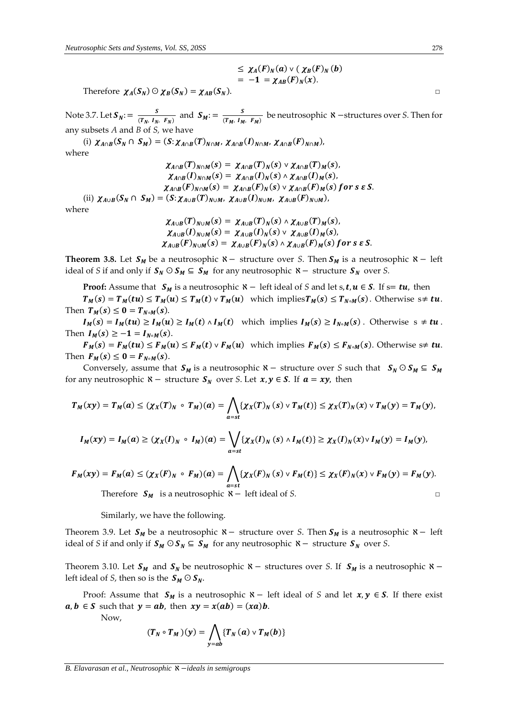$$
\leq \chi_A(F)_N(a) \vee (\chi_B(F)_N(b) = -1 = \chi_{AB}(F)_N(x).
$$

Therefore  $\chi_A(S_N) \,\odot\, \chi_B(S_N) = \chi_{AB}(S_N).$ 

Note 3.7. Let  $S_N := \frac{S}{(T_N - I_N)}$  $\frac{S}{(T_N, I_N, F_N)}$  and  $S_M := \frac{S}{(T_M, I_M)}$  $\frac{3}{(T_M, I_M, F_M)}$  be neutrosophic **X** −structures over *S*. Then for any subsets *A* and *B* of *S,* we have

(i)  $\chi_{A\cap B}(S_N \cap S_M) = (S:\chi_{A\cap B}(T)_{N\cap M}, \chi_{A\cap B}(I)_{N\cap M}, \chi_{A\cap B}(F)_{N\cap M}),$ where

 $\chi_{A\cap B}(T)_{N\cap M}(s) = \chi_{A\cap B}(T)_N(s) \vee \chi_{A\cap B}(T)_M(s),$  $\chi_{A\cap B}(I)_{N\cap M}(s) = \chi_{A\cap B}(I)_N(s) \wedge \chi_{A\cap B}(I)_M(s),$  $\chi_{A\cap B}(F)_{N\cap M}(s) = \chi_{A\cap B}(F)_N(s) \vee \chi_{A\cap B}(F)_M(s)$  for s  $\epsilon S$ . (ii)  $\chi_{A\cup B}(S_N \cap S_M) = (S: \chi_{A\cup B}(T)_{N\cup M}, \chi_{A\cup B}(I)_{N\cup M}, \chi_{A\cup B}(F)_{N\cup M}),$ where

$$
\chi_{A\cup B}(T)_{N\cup M}(s) = \chi_{A\cup B}(T)_N(s) \wedge \chi_{A\cup B}(T)_M(s),
$$
  
\n
$$
\chi_{A\cup B}(I)_{N\cup M}(s) = \chi_{A\cup B}(I)_N(s) \vee \chi_{A\cup B}(I)_M(s),
$$
  
\n
$$
\chi_{A\cup B}(F)_{N\cup M}(s) = \chi_{A\cup B}(F)_N(s) \wedge \chi_{A\cup B}(F)_M(s) \text{ for } s \in S.
$$

**Theorem 3.8.** Let  $S_M$  be a neutrosophic  $\aleph -$  structure over *S*. Then  $S_M$  is a neutrosophic  $\aleph -$  left ideal of *S* if and only if  $S_N \nsubseteq S_M$  for any neutrosophic  $\aleph -$  structure  $S_N$  over *S*.

**Proof:** Assume that  $S_M$  is a neutrosophic  $\aleph -$  left ideal of *S* and let *s*,  $t, u \in S$ . If  $s = tu$ , then

 $T_M(s) = T_M(tu) \leq T_M(u) \leq T_M(t) \vee T_M(u)$  which implies $T_M(s) \leq T_{N \circ M}(s)$ . Otherwise  $s \neq tu$ . Then  $T_M(s) \leq 0 = T_{N \circ M}(s)$ .

 $I_M(s) = I_M(tu) \ge I_M(u) \ge I_M(t) \wedge I_M(t)$  which implies  $I_M(s) \ge I_{N \circ M}(s)$ . Otherwise  $s \ne tu$ . Then  $I_M(s) \geq -1 = I_{N \circ M}(s)$ .

 $F_M(s) = F_M(tu) \le F_M(u) \le F_M(t) \vee F_M(u)$  which implies  $F_M(s) \le F_{N \circ M}(s)$ . Otherwise  $s \neq tu$ . Then  $F_M(s) \leq 0 = F_{N \circ M}(s)$ .

Conversely, assume that  $S_M$  is a neutrosophic  $\aleph$  – structure over *S* such that  $S_N \odot S_M \subseteq S_M$ for any neutrosophic  $\aleph$  – structure  $S_N$  over *S*. Let  $x, y \in S$ . If  $a = xy$ , then

$$
T_M(xy) = T_M(a) \leq (\chi_X(T)_N \circ T_M)(a) = \bigwedge_{\alpha = st} \{ \chi_X(T)_N(s) \vee T_M(t) \} \leq \chi_X(T)_N(x) \vee T_M(y) = T_M(y),
$$
  

$$
I_M(xy) = I_M(a) \geq (\chi_X(I)_N \circ I_M)(a) = \bigvee_{\alpha = st} \{ \chi_X(I)_N(s) \wedge I_M(t) \} \geq \chi_X(I)_N(x) \vee I_M(y) = I_M(y),
$$

$$
F_M(xy) = F_M(a) \le (\chi_X(F)_N \circ F_M)(a) = \bigwedge_{a=st} \{ \chi_X(F)_N(s) \vee F_M(t) \} \le \chi_X(F)_N(x) \vee F_M(y) = F_M(y).
$$
  
Therefore  $S_M$  is a neutrosophic  $\aleph -$  left ideal of *S*.

Similarly, we have the following.

Theorem 3.9. Let  $S_M$  be a neutrosophic  $\aleph -$  structure over *S*. Then  $S_M$  is a neutrosophic  $\aleph -$  left ideal of *S* if and only if  $S_M \odot S_N \subseteq S_M$  for any neutrosophic  $\aleph -$  structure  $S_N$  over *S*.

Theorem 3.10. Let  $S_M$  and  $S_N$  be neutrosophic  $\aleph -$  structures over *S*. If  $S_M$  is a neutrosophic  $\aleph$ left ideal of *S*, then so is the  $S_M \odot S_N$ .

Proof: Assume that  $S_M$  is a neutrosophic  $\aleph -$  left ideal of *S* and let  $x, y \in S$ . If there exist  $a, b \in S$  such that  $y = ab$ , then  $xy = x(ab) = (xa)b$ .

Now,

$$
(T_N \circ T_M)(y) = \bigwedge_{y=ab} \{T_N(a) \vee T_M(b)\}
$$

*B. Elavarasan et al., Neutrosophic* ℵ −*ideals in semigroups*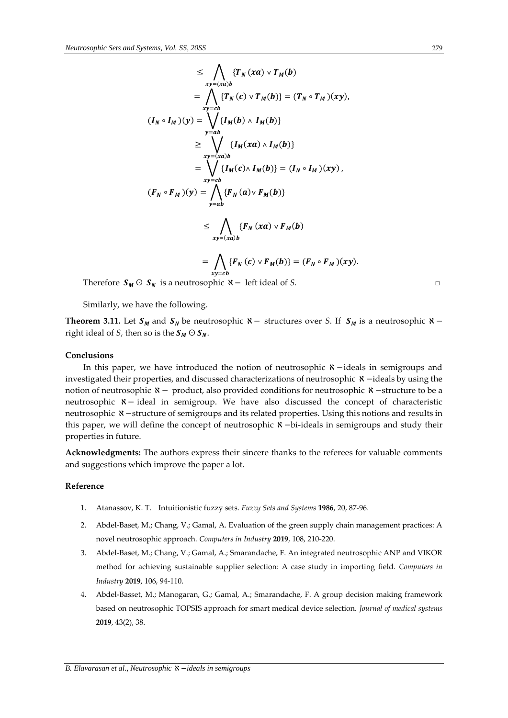$$
\leq \bigwedge_{xy=(xa)b} \{T_N(xa) \vee T_M(b) \}
$$
\n
$$
= \bigwedge_{xy=cb} \{T_N(c) \vee T_M(b)\} = (T_N \circ T_M)(xy),
$$
\n
$$
(I_N \circ I_M)(y) = \bigvee_{y=ab} \{I_M(b) \wedge I_M(b)\}
$$
\n
$$
\geq \bigvee_{xy=(xa)b} \{I_M(xa) \wedge I_M(b)\} = (I_N \circ I_M)(xy),
$$
\n
$$
= \bigvee_{xy=cb} \{I_M(c) \wedge I_M(b)\} = (I_N \circ I_M)(xy),
$$
\n
$$
(F_N \circ F_M)(y) = \bigwedge_{y=ab} \{F_N(a) \vee F_M(b)\}
$$
\n
$$
\leq \bigwedge_{xy=(xa)b} \{F_N(xa) \vee F_M(b)\} = (F \circ F \circ C)y
$$

$$
= \bigwedge_{xy=cb} \{F_N(c) \vee F_M(b)\} = (F_N \circ F_M)(xy).
$$

Therefore  $S_M \odot S_N$  is a neutrosophic  $\aleph -$  left ideal of *S*. □

Similarly, we have the following.

**Theorem 3.11.** Let  $S_M$  and  $S_N$  be neutrosophic  $\aleph -$  structures over *S*. If  $S_M$  is a neutrosophic  $\aleph$ right ideal of *S*, then so is the  $S_M \odot S_N$ .

#### **Conclusions**

In this paper, we have introduced the notion of neutrosophic ℵ−ideals in semigroups and investigated their properties, and discussed characterizations of neutrosophic ℵ−ideals by using the notion of neutrosophic  $x -$  product, also provided conditions for neutrosophic  $x -$ structure to be a neutrosophic ℵ− ideal in semigroup. We have also discussed the concept of characteristic neutrosophic ℵ−structure of semigroups and its related properties. Using this notions and results in this paper, we will define the concept of neutrosophic ℵ −bi-ideals in semigroups and study their properties in future.

**Acknowledgments:** The authors express their sincere thanks to the referees for valuable comments and suggestions which improve the paper a lot.

## **Reference**

- 1. Atanassov, K. T. Intuitionistic fuzzy sets. *Fuzzy Sets and Systems* **1986**, 20, 87-96.
- 2. Abdel-Baset, M.; Chang, V.; Gamal, A. Evaluation of the green supply chain management practices: A novel neutrosophic approach. *Computers in Industry* **2019**, 108, 210-220.
- 3. Abdel-Baset, M.; Chang, V.; Gamal, A.; Smarandache, F. An integrated neutrosophic ANP and VIKOR method for achieving sustainable supplier selection: A case study in importing field. *Computers in Industry* **2019**, 106, 94-110.
- 4. Abdel-Basset, M.; Manogaran, G.; Gamal, A.; Smarandache, F. A group decision making framework based on neutrosophic TOPSIS approach for smart medical device selection. *Journal of medical systems* **2019**, 43(2), 38.